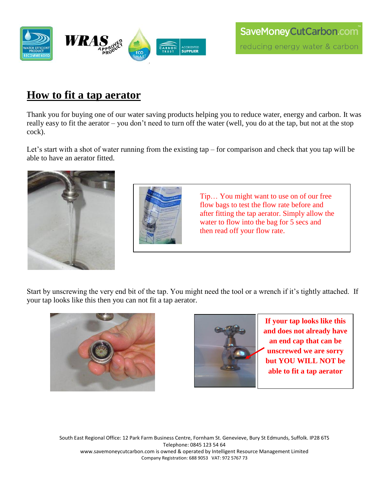

## **How to fit a tap aerator**

Thank you for buying one of our water saving products helping you to reduce water, energy and carbon. It was really easy to fit the aerator – you don't need to turn off the water (well, you do at the tap, but not at the stop cock).

Let's start with a shot of water running from the existing tap – for comparison and check that you tap will be able to have an aerator fitted.





Tip… You might want to use on of our free flow bags to test the flow rate before and after fitting the tap aerator. Simply allow the water to flow into the bag for 5 secs and then read off your flow rate.

Start by unscrewing the very end bit of the tap. You might need the tool or a wrench if it's tightly attached. If your tap looks like this then you can not fit a tap aerator.





**If your tap looks like this and does not already have an end cap that can be unscrewed we are sorry but YOU WILL NOT be able to fit a tap aerator**

South East Regional Office: 12 Park Farm Business Centre, Fornham St. Genevieve, Bury St Edmunds, Suffolk. IP28 6TS Telephone: 0845 123 54 64 www.savemoneycutcarbon.com is owned & operated by Intelligent Resource Management Limited Company Registration: 688 9053 VAT: 972 5767 73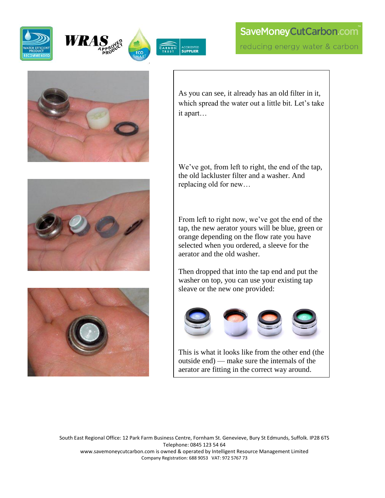





## SaveMoneyCutCarbon.com reducing energy water & carbon







As you can see, it already has an old filter in it, which spread the water out a little bit. Let's take it apart…

We've got, from left to right, the end of the tap, the old lackluster filter and a washer. And replacing old for new…

From left to right now, we've got the end of the tap, the new aerator yours will be blue, green or orange depending on the flow rate you have selected when you ordered, a sleeve for the aerator and the old washer.

Then dropped that into the tap end and put the washer on top, you can use your existing tap sleave or the new one provided:



This is what it looks like from the other end (the outside end) — make sure the internals of the aerator are fitting in the correct way around.

South East Regional Office: 12 Park Farm Business Centre, Fornham St. Genevieve, Bury St Edmunds, Suffolk. IP28 6TS Telephone: 0845 123 54 64 www.savemoneycutcarbon.com is owned & operated by Intelligent Resource Management Limited Company Registration: 688 9053 VAT: 972 5767 73